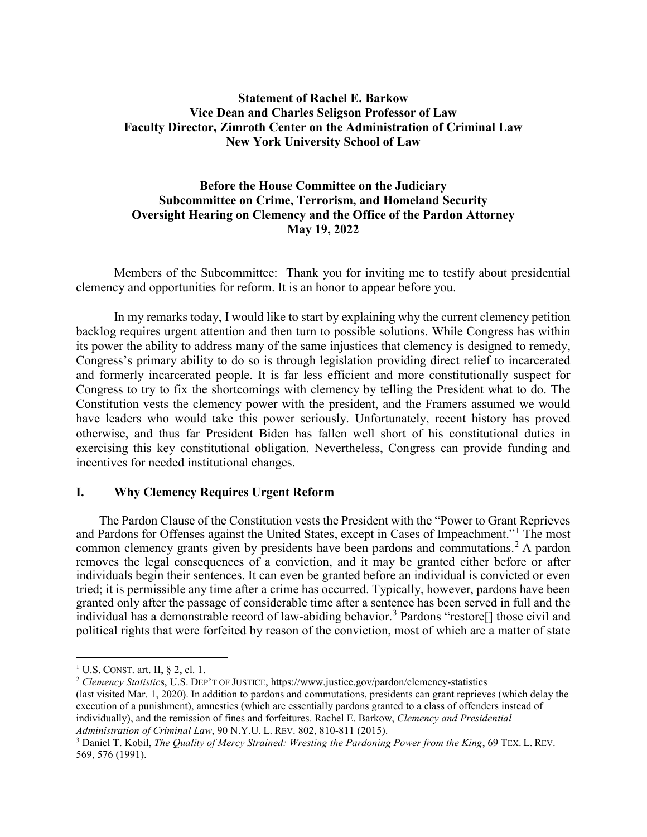# **Statement of Rachel E. Barkow Vice Dean and Charles Seligson Professor of Law Faculty Director, Zimroth Center on the Administration of Criminal Law New York University School of Law**

# **Before the House Committee on the Judiciary Subcommittee on Crime, Terrorism, and Homeland Security Oversight Hearing on Clemency and the Office of the Pardon Attorney May 19, 2022**

Members of the Subcommittee: Thank you for inviting me to testify about presidential clemency and opportunities for reform. It is an honor to appear before you.

In my remarks today, I would like to start by explaining why the current clemency petition backlog requires urgent attention and then turn to possible solutions. While Congress has within its power the ability to address many of the same injustices that clemency is designed to remedy, Congress's primary ability to do so is through legislation providing direct relief to incarcerated and formerly incarcerated people. It is far less efficient and more constitutionally suspect for Congress to try to fix the shortcomings with clemency by telling the President what to do. The Constitution vests the clemency power with the president, and the Framers assumed we would have leaders who would take this power seriously. Unfortunately, recent history has proved otherwise, and thus far President Biden has fallen well short of his constitutional duties in exercising this key constitutional obligation. Nevertheless, Congress can provide funding and incentives for needed institutional changes.

### **I. Why Clemency Requires Urgent Reform**

The Pardon Clause of the Constitution vests the President with the "Power to Grant Reprieves and Pardons for Offenses against the United States, except in Cases of Impeachment."[1](#page-0-0) The most common clemency grants given by presidents have been pardons and commutations.<sup>[2](#page-0-1)</sup> A pardon removes the legal consequences of a conviction, and it may be granted either before or after individuals begin their sentences. It can even be granted before an individual is convicted or even tried; it is permissible any time after a crime has occurred. Typically, however, pardons have been granted only after the passage of considerable time after a sentence has been served in full and the individual has a demonstrable record of law-abiding behavior.<sup>[3](#page-0-2)</sup> Pardons "restore<sup>[]</sup> those civil and political rights that were forfeited by reason of the conviction, most of which are a matter of state

 $\overline{a}$ 

(last visited Mar. 1, 2020). In addition to pardons and commutations, presidents can grant reprieves (which delay the execution of a punishment), amnesties (which are essentially pardons granted to a class of offenders instead of individually), and the remission of fines and forfeitures. Rachel E. Barkow, *Clemency and Presidential Administration of Criminal Law*, 90 N.Y.U. L. REV. 802, 810-811 (2015).

<span id="page-0-0"></span><sup>&</sup>lt;sup>1</sup> U.S. CONST. art. II,  $\S$  2, cl. 1.

<span id="page-0-1"></span><sup>2</sup> *Clemency Statistic*s, U.S. DEP'T OF JUSTICE, https://www.justice.gov/pardon/clemency-statistics

<span id="page-0-2"></span><sup>3</sup> Daniel T. Kobil, *The Quality of Mercy Strained: Wresting the Pardoning Power from the King*, 69 TEX. L. REV. 569, 576 (1991).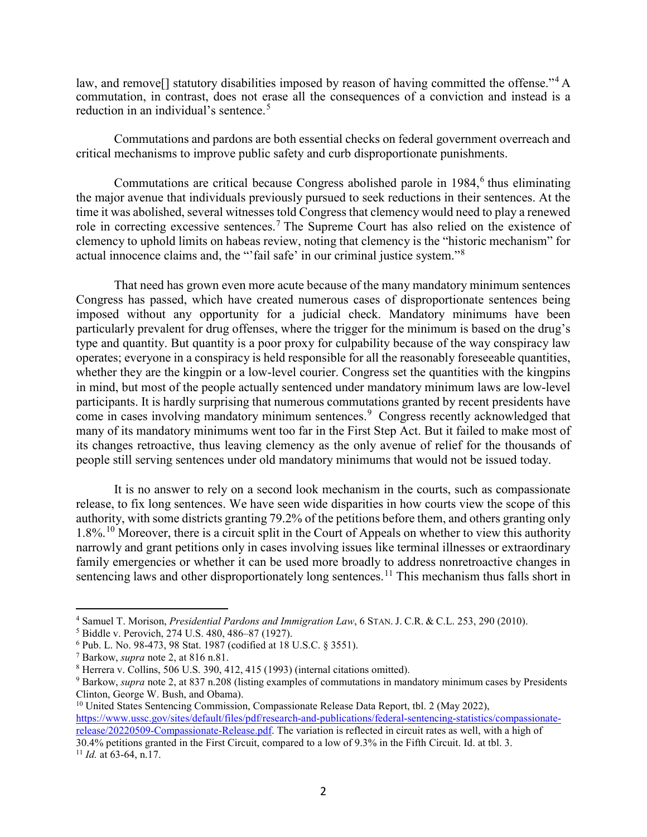law, and remove<sup>[]</sup> statutory disabilities imposed by reason of having committed the offense."<sup>[4](#page-1-0)</sup> A commutation, in contrast, does not erase all the consequences of a conviction and instead is a reduction in an individual's sentence.<sup>[5](#page-1-1)</sup>

Commutations and pardons are both essential checks on federal government overreach and critical mechanisms to improve public safety and curb disproportionate punishments.

Commutations are critical because Congress abolished parole in  $1984<sup>6</sup>$  $1984<sup>6</sup>$  $1984<sup>6</sup>$  thus eliminating the major avenue that individuals previously pursued to seek reductions in their sentences. At the time it was abolished, several witnesses told Congress that clemency would need to play a renewed role in correcting excessive sentences.<sup>[7](#page-1-3)</sup> The Supreme Court has also relied on the existence of clemency to uphold limits on habeas review, noting that clemency is the "historic mechanism" for actual innocence claims and, the "'fail safe' in our criminal justice system."[8](#page-1-4)

That need has grown even more acute because of the many mandatory minimum sentences Congress has passed, which have created numerous cases of disproportionate sentences being imposed without any opportunity for a judicial check. Mandatory minimums have been particularly prevalent for drug offenses, where the trigger for the minimum is based on the drug's type and quantity. But quantity is a poor proxy for culpability because of the way conspiracy law operates; everyone in a conspiracy is held responsible for all the reasonably foreseeable quantities, whether they are the kingpin or a low-level courier. Congress set the quantities with the kingpins in mind, but most of the people actually sentenced under mandatory minimum laws are low-level participants. It is hardly surprising that numerous commutations granted by recent presidents have come in cases involving mandatory minimum sentences.<sup>[9](#page-1-5)</sup> Congress recently acknowledged that many of its mandatory minimums went too far in the First Step Act. But it failed to make most of its changes retroactive, thus leaving clemency as the only avenue of relief for the thousands of people still serving sentences under old mandatory minimums that would not be issued today.

It is no answer to rely on a second look mechanism in the courts, such as compassionate release, to fix long sentences. We have seen wide disparities in how courts view the scope of this authority, with some districts granting 79.2% of the petitions before them, and others granting only 1.8%.[10](#page-1-6) Moreover, there is a circuit split in the Court of Appeals on whether to view this authority narrowly and grant petitions only in cases involving issues like terminal illnesses or extraordinary family emergencies or whether it can be used more broadly to address nonretroactive changes in sentencing laws and other disproportionately long sentences.<sup>[11](#page-1-7)</sup> This mechanism thus falls short in

<span id="page-1-6"></span><sup>10</sup> United States Sentencing Commission, Compassionate Release Data Report, tbl. 2 (May 2022), [https://www.ussc.gov/sites/default/files/pdf/research-and-publications/federal-sentencing-statistics/compassionate](https://www.ussc.gov/sites/default/files/pdf/research-and-publications/federal-sentencing-statistics/compassionate-release/20220509-Compassionate-Release.pdf)[release/20220509-Compassionate-Release.pdf.](https://www.ussc.gov/sites/default/files/pdf/research-and-publications/federal-sentencing-statistics/compassionate-release/20220509-Compassionate-Release.pdf) The variation is reflected in circuit rates as well, with a high of 30.4% petitions granted in the First Circuit, compared to a low of 9.3% in the Fifth Circuit. Id. at tbl. 3. 11 *Id.* at 63-64, n.17.

<span id="page-1-7"></span>

<span id="page-1-0"></span><sup>4</sup> Samuel T. Morison, *Presidential Pardons and Immigration Law*, 6 STAN. J. C.R. & C.L. 253, 290 (2010).

<span id="page-1-1"></span><sup>5</sup> Biddle v. Perovich, 274 U.S. 480, 486–87 (1927).

<span id="page-1-2"></span><sup>6</sup> Pub. L. No. 98-473, 98 Stat. 1987 (codified at 18 U.S.C. § 3551).

<span id="page-1-3"></span><sup>7</sup> Barkow, *supra* note 2, at 816 n.81.

<span id="page-1-4"></span><sup>8</sup> Herrera v. Collins, 506 U.S. 390, 412, 415 (1993) (internal citations omitted).

<span id="page-1-5"></span><sup>9</sup> Barkow, *supra* note 2, at 837 n.208 (listing examples of commutations in mandatory minimum cases by Presidents Clinton, George W. Bush, and Obama).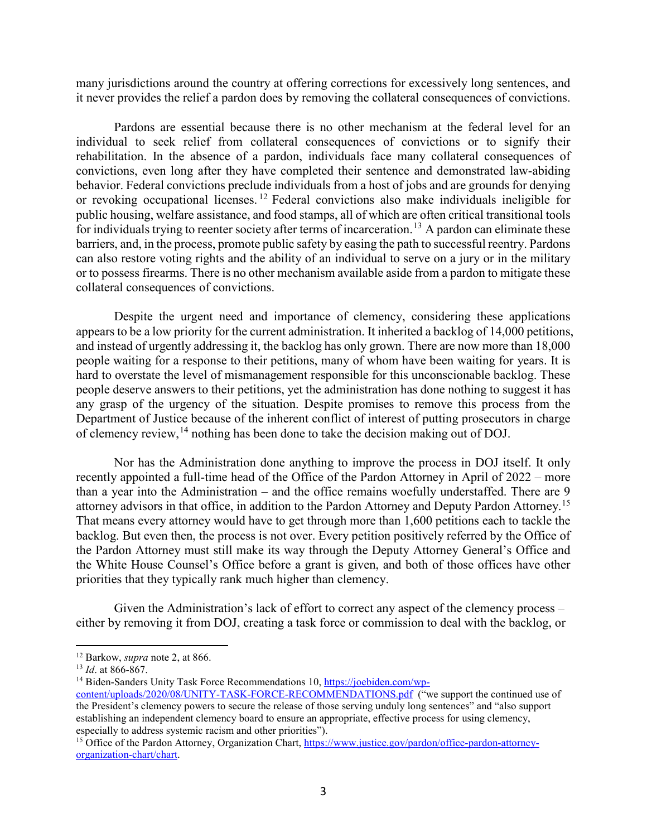many jurisdictions around the country at offering corrections for excessively long sentences, and it never provides the relief a pardon does by removing the collateral consequences of convictions.

Pardons are essential because there is no other mechanism at the federal level for an individual to seek relief from collateral consequences of convictions or to signify their rehabilitation. In the absence of a pardon, individuals face many collateral consequences of convictions, even long after they have completed their sentence and demonstrated law-abiding behavior. Federal convictions preclude individuals from a host of jobs and are grounds for denying or revoking occupational licenses. [12](#page-2-0) Federal convictions also make individuals ineligible for public housing, welfare assistance, and food stamps, all of which are often critical transitional tools for individuals trying to reenter society after terms of incarceration.<sup>[13](#page-2-1)</sup> A pardon can eliminate these barriers, and, in the process, promote public safety by easing the path to successful reentry. Pardons can also restore voting rights and the ability of an individual to serve on a jury or in the military or to possess firearms. There is no other mechanism available aside from a pardon to mitigate these collateral consequences of convictions.

Despite the urgent need and importance of clemency, considering these applications appears to be a low priority for the current administration. It inherited a backlog of 14,000 petitions, and instead of urgently addressing it, the backlog has only grown. There are now more than 18,000 people waiting for a response to their petitions, many of whom have been waiting for years. It is hard to overstate the level of mismanagement responsible for this unconscionable backlog. These people deserve answers to their petitions, yet the administration has done nothing to suggest it has any grasp of the urgency of the situation. Despite promises to remove this process from the Department of Justice because of the inherent conflict of interest of putting prosecutors in charge of clemency review,[14](#page-2-2) nothing has been done to take the decision making out of DOJ.

Nor has the Administration done anything to improve the process in DOJ itself. It only recently appointed a full-time head of the Office of the Pardon Attorney in April of 2022 – more than a year into the Administration – and the office remains woefully understaffed. There are 9 attorney advisors in that office, in addition to the Pardon Attorney and Deputy Pardon Attorney.<sup>[15](#page-2-3)</sup> That means every attorney would have to get through more than 1,600 petitions each to tackle the backlog. But even then, the process is not over. Every petition positively referred by the Office of the Pardon Attorney must still make its way through the Deputy Attorney General's Office and the White House Counsel's Office before a grant is given, and both of those offices have other priorities that they typically rank much higher than clemency.

Given the Administration's lack of effort to correct any aspect of the clemency process – either by removing it from DOJ, creating a task force or commission to deal with the backlog, or

 $\overline{a}$ <sup>12</sup> Barkow, *supra* note 2, at 866.

<span id="page-2-1"></span><span id="page-2-0"></span><sup>13</sup> *Id*. at 866-867.

<span id="page-2-2"></span><sup>&</sup>lt;sup>14</sup> Biden-Sanders Unity Task Force Recommendations 10, [https://joebiden.com/wp-](https://joebiden.com/wp-content/uploads/2020/08/UNITY-TASK-FORCE-RECOMMENDATIONS.pdf)

[content/uploads/2020/08/UNITY-TASK-FORCE-RECOMMENDATIONS.pdf](https://joebiden.com/wp-content/uploads/2020/08/UNITY-TASK-FORCE-RECOMMENDATIONS.pdf) ("we support the continued use of the President's clemency powers to secure the release of those serving unduly long sentences" and "also support establishing an independent clemency board to ensure an appropriate, effective process for using clemency, especially to address systemic racism and other priorities").

<span id="page-2-3"></span><sup>&</sup>lt;sup>15</sup> Office of the Pardon Attorney, Organization Chart, [https://www.justice.gov/pardon/office-pardon-attorney](https://www.justice.gov/pardon/office-pardon-attorney-organization-chart/chart)[organization-chart/chart.](https://www.justice.gov/pardon/office-pardon-attorney-organization-chart/chart)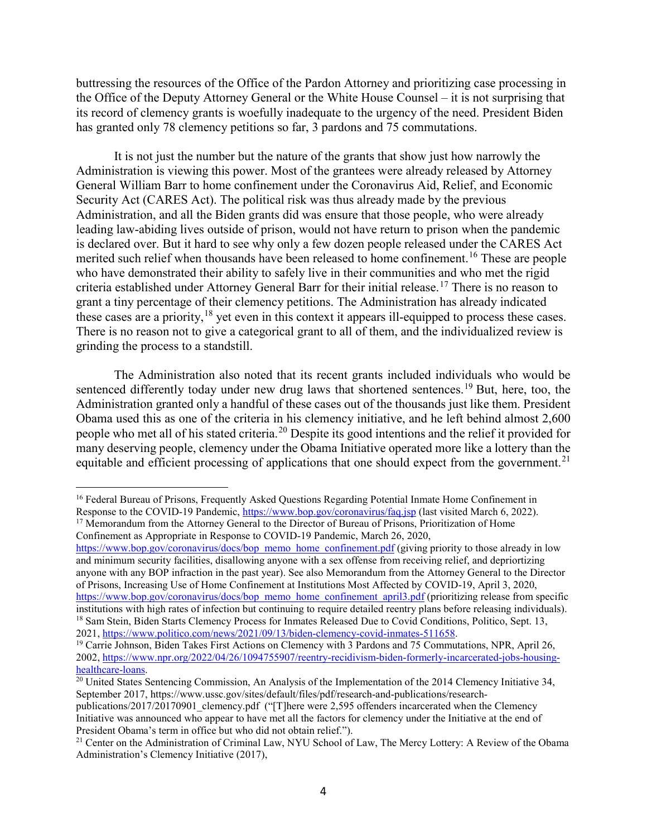buttressing the resources of the Office of the Pardon Attorney and prioritizing case processing in the Office of the Deputy Attorney General or the White House Counsel – it is not surprising that its record of clemency grants is woefully inadequate to the urgency of the need. President Biden has granted only 78 clemency petitions so far, 3 pardons and 75 commutations.

It is not just the number but the nature of the grants that show just how narrowly the Administration is viewing this power. Most of the grantees were already released by Attorney General William Barr to home confinement under the Coronavirus Aid, Relief, and Economic Security Act (CARES Act). The political risk was thus already made by the previous Administration, and all the Biden grants did was ensure that those people, who were already leading law-abiding lives outside of prison, would not have return to prison when the pandemic is declared over. But it hard to see why only a few dozen people released under the CARES Act merited such relief when thousands have been released to home confinement.<sup>[16](#page-3-0)</sup> These are people who have demonstrated their ability to safely live in their communities and who met the rigid criteria established under Attorney General Barr for their initial release.[17](#page-3-1) There is no reason to grant a tiny percentage of their clemency petitions. The Administration has already indicated these cases are a priority,  $^{18}$  $^{18}$  $^{18}$  yet even in this context it appears ill-equipped to process these cases. There is no reason not to give a categorical grant to all of them, and the individualized review is grinding the process to a standstill.

The Administration also noted that its recent grants included individuals who would be sentenced differently today under new drug laws that shortened sentences.<sup>[19](#page-3-3)</sup> But, here, too, the Administration granted only a handful of these cases out of the thousands just like them. President Obama used this as one of the criteria in his clemency initiative, and he left behind almost 2,600 people who met all of his stated criteria.<sup>[20](#page-3-4)</sup> Despite its good intentions and the relief it provided for many deserving people, clemency under the Obama Initiative operated more like a lottery than the equitable and efficient processing of applications that one should expect from the government.<sup>[21](#page-3-5)</sup>

<span id="page-3-1"></span>Confinement as Appropriate in Response to COVID-19 Pandemic, March 26, 2020,

 $\overline{a}$ 

[https://www.bop.gov/coronavirus/docs/bop\\_memo\\_home\\_confinement.pdf](https://www.bop.gov/coronavirus/docs/bop_memo_home_confinement.pdf) (giving priority to those already in low and minimum security facilities, disallowing anyone with a sex offense from receiving relief, and depriortizing anyone with any BOP infraction in the past year). See also Memorandum from the Attorney General to the Director of Prisons, Increasing Use of Home Confinement at Institutions Most Affected by COVID-19, April 3, 2020, [https://www.bop.gov/coronavirus/docs/bop\\_memo\\_home\\_confinement\\_april3.pdf](https://www.bop.gov/coronavirus/docs/bop_memo_home_confinement_april3.pdf) (prioritizing release from specific

<span id="page-3-4"></span> $\frac{1}{20}$  United States Sentencing Commission, An Analysis of the Implementation of the 2014 Clemency Initiative 34, September 2017, https://www.ussc.gov/sites/default/files/pdf/research-and-publications/research-

<span id="page-3-0"></span><sup>&</sup>lt;sup>16</sup> Federal Bureau of Prisons, Frequently Asked Questions Regarding Potential Inmate Home Confinement in Response to the COVID-19 Pandemic,<https://www.bop.gov/coronavirus/faq.jsp> (last visited March 6, 2022). <sup>17</sup> Memorandum from the Attorney General to the Director of Bureau of Prisons, Prioritization of Home

<span id="page-3-2"></span>institutions with high rates of infection but continuing to require detailed reentry plans before releasing individuals).<br><sup>18</sup> Sam Stein, Biden Starts Clemency Process for Inmates Released Due to Covid Conditions, Politico

<span id="page-3-3"></span><sup>&</sup>lt;sup>19</sup> Carrie Johnson, Biden Takes First Actions on Clemency with 3 Pardons and 75 Commutations, NPR, April 26, 2002, https://www.npr.org/2022/04/26/1094755907/reentry-recidivism-biden-formerly-incarcerated-jobs-housing-healthcare-loans.

publications/2017/20170901\_clemency.pdf ("[T]here were 2,595 offenders incarcerated when the Clemency Initiative was announced who appear to have met all the factors for clemency under the Initiative at the end of President Obama's term in office but who did not obtain relief.").<br><sup>21</sup> Center on the Administration of Criminal Law, NYU School of Law, The Mercy Lottery: A Review of the Obama

<span id="page-3-5"></span>Administration's Clemency Initiative (2017),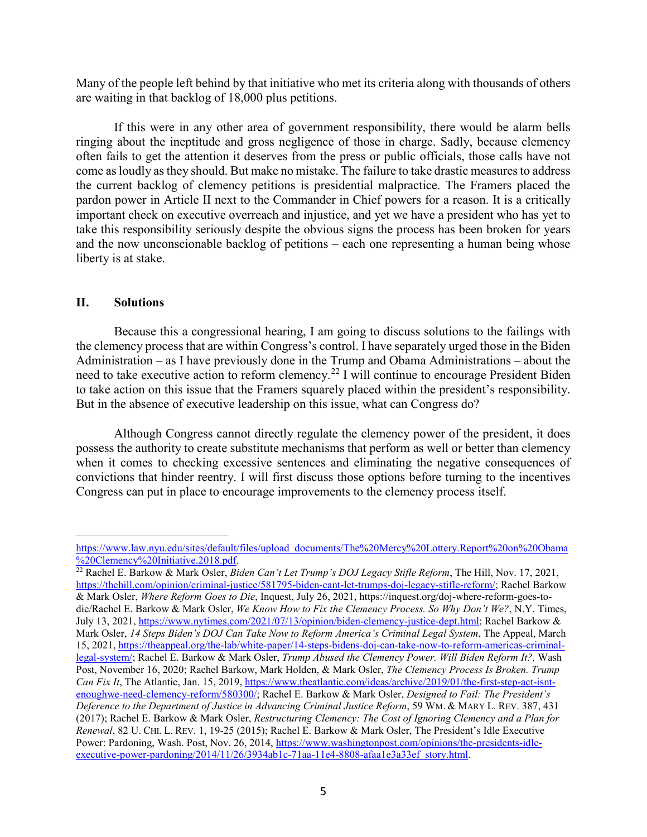Many of the people left behind by that initiative who met its criteria along with thousands of others are waiting in that backlog of 18,000 plus petitions.

If this were in any other area of government responsibility, there would be alarm bells ringing about the ineptitude and gross negligence of those in charge. Sadly, because clemency often fails to get the attention it deserves from the press or public officials, those calls have not come as loudly as they should. But make no mistake. The failure to take drastic measures to address the current backlog of clemency petitions is presidential malpractice. The Framers placed the pardon power in Article II next to the Commander in Chief powers for a reason. It is a critically important check on executive overreach and injustice, and yet we have a president who has yet to take this responsibility seriously despite the obvious signs the process has been broken for years and the now unconscionable backlog of petitions – each one representing a human being whose liberty is at stake.

# **II. Solutions**

 $\overline{a}$ 

Because this a congressional hearing, I am going to discuss solutions to the failings with the clemency process that are within Congress's control. I have separately urged those in the Biden Administration – as I have previously done in the Trump and Obama Administrations – about the need to take executive action to reform clemency.[22](#page-4-0) I will continue to encourage President Biden to take action on this issue that the Framers squarely placed within the president's responsibility. But in the absence of executive leadership on this issue, what can Congress do?

Although Congress cannot directly regulate the clemency power of the president, it does possess the authority to create substitute mechanisms that perform as well or better than clemency when it comes to checking excessive sentences and eliminating the negative consequences of convictions that hinder reentry. I will first discuss those options before turning to the incentives Congress can put in place to encourage improvements to the clemency process itself.

[https://www.law.nyu.edu/sites/default/files/upload\\_documents/The%20Mercy%20Lottery.Report%20on%20Obama](https://www.law.nyu.edu/sites/default/files/upload_documents/The%20Mercy%20Lottery.Report%20on%20Obama%20Clemency%20Initiative.2018.pdf)<br>%20Clemency%20Initiative.2018.pdf.

<span id="page-4-0"></span><sup>&</sup>lt;sup>22</sup> Rachel E. Barkow & Mark Osler, *Biden Can't Let Trump's DOJ Legacy Stifle Reform*, The Hill, Nov. 17, 2021, [https://thehill.com/opinion/criminal-justice/581795-biden-cant-let-trumps-doj-legacy-stifle-reform/;](https://thehill.com/opinion/criminal-justice/581795-biden-cant-let-trumps-doj-legacy-stifle-reform/) Rachel Barkow & Mark Osler, *Where Reform Goes to Die*, Inquest, July 26, 2021, https://inquest.org/doj-where-reform-goes-todie/Rachel E. Barkow & Mark Osler, *We Know How to Fix the Clemency Process. So Why Don't We?*, N.Y. Times, July 13, 2021, [https://www.nytimes.com/2021/07/13/opinion/biden-clemency-justice-dept.html;](https://www.nytimes.com/2021/07/13/opinion/biden-clemency-justice-dept.html) Rachel Barkow & Mark Osler, *14 Steps Biden's DOJ Can Take Now to Reform America's Criminal Legal System*, The Appeal, March 15, 2021, [https://theappeal.org/the-lab/white-paper/14-steps-bidens-doj-can-take-now-to-reform-americas-criminal](https://theappeal.org/the-lab/white-paper/14-steps-bidens-doj-can-take-now-to-reform-americas-criminal-legal-system/)[legal-system/;](https://theappeal.org/the-lab/white-paper/14-steps-bidens-doj-can-take-now-to-reform-americas-criminal-legal-system/) Rachel E. Barkow & Mark Osler, *Trump Abused the Clemency Power. Will Biden Reform It?,* Wash Post, November 16, 2020; Rachel Barkow, Mark Holden, & Mark Osler, *The Clemency Process Is Broken. Trump Can Fix It*, The Atlantic, Jan. 15, 2019[, https://www.theatlantic.com/ideas/archive/2019/01/the-first-step-act-isnt](https://www.theatlantic.com/ideas/archive/2019/01/the-first-step-act-isnt-enoughwe-need-clemency-reform/580300/)[enoughwe-need-clemency-reform/580300/;](https://www.theatlantic.com/ideas/archive/2019/01/the-first-step-act-isnt-enoughwe-need-clemency-reform/580300/) Rachel E. Barkow & Mark Osler, *Designed to Fail: The President's Deference to the Department of Justice in Advancing Criminal Justice Reform*, 59 WM. & MARY L. REV. 387, 431 (2017); Rachel E. Barkow & Mark Osler, *Restructuring Clemency: The Cost of Ignoring Clemency and a Plan for Renewal*, 82 U. CHI. L. REV. 1, 19-25 (2015); Rachel E. Barkow & Mark Osler, The President's Idle Executive Power: Pardoning, Wash. Post, Nov. 26, 2014, [https://www.washingtonpost.com/opinions/the-presidents-idle](https://www.washingtonpost.com/opinions/the-presidents-idle-executive-power-pardoning/2014/11/26/3934ab1c-71aa-11e4-8808-afaa1e3a33ef_story.html)executive-power-pardoning/2014/11/26/3934ab1c-71aa-11e4-8808-afaa1e3a33ef\_story.html.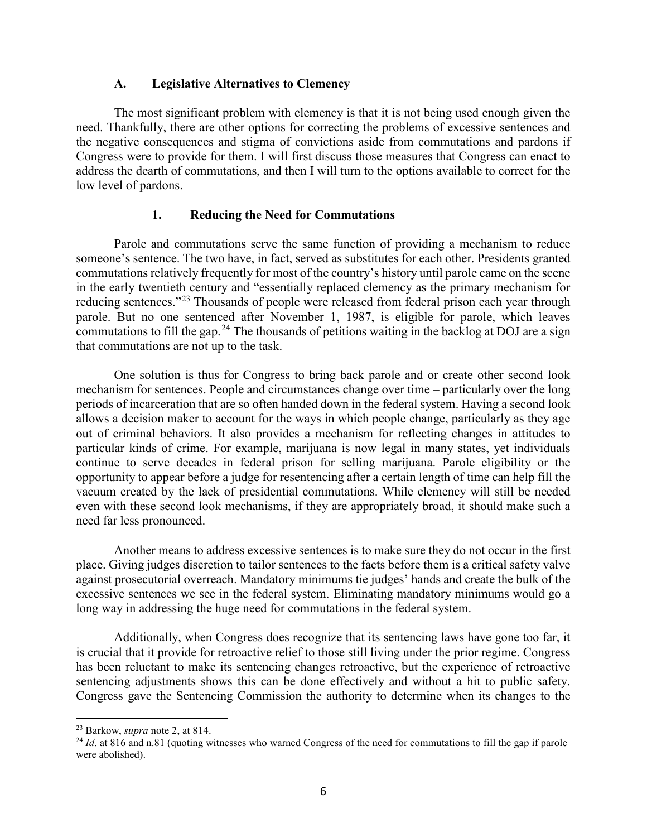### **A. Legislative Alternatives to Clemency**

The most significant problem with clemency is that it is not being used enough given the need. Thankfully, there are other options for correcting the problems of excessive sentences and the negative consequences and stigma of convictions aside from commutations and pardons if Congress were to provide for them. I will first discuss those measures that Congress can enact to address the dearth of commutations, and then I will turn to the options available to correct for the low level of pardons.

# **1. Reducing the Need for Commutations**

Parole and commutations serve the same function of providing a mechanism to reduce someone's sentence. The two have, in fact, served as substitutes for each other. Presidents granted commutations relatively frequently for most of the country's history until parole came on the scene in the early twentieth century and "essentially replaced clemency as the primary mechanism for reducing sentences."<sup>[23](#page-5-0)</sup> Thousands of people were released from federal prison each year through parole. But no one sentenced after November 1, 1987, is eligible for parole, which leaves commutations to fill the gap.<sup>[24](#page-5-1)</sup> The thousands of petitions waiting in the backlog at DOJ are a sign that commutations are not up to the task.

One solution is thus for Congress to bring back parole and or create other second look mechanism for sentences. People and circumstances change over time – particularly over the long periods of incarceration that are so often handed down in the federal system. Having a second look allows a decision maker to account for the ways in which people change, particularly as they age out of criminal behaviors. It also provides a mechanism for reflecting changes in attitudes to particular kinds of crime. For example, marijuana is now legal in many states, yet individuals continue to serve decades in federal prison for selling marijuana. Parole eligibility or the opportunity to appear before a judge for resentencing after a certain length of time can help fill the vacuum created by the lack of presidential commutations. While clemency will still be needed even with these second look mechanisms, if they are appropriately broad, it should make such a need far less pronounced.

Another means to address excessive sentences is to make sure they do not occur in the first place. Giving judges discretion to tailor sentences to the facts before them is a critical safety valve against prosecutorial overreach. Mandatory minimums tie judges' hands and create the bulk of the excessive sentences we see in the federal system. Eliminating mandatory minimums would go a long way in addressing the huge need for commutations in the federal system.

Additionally, when Congress does recognize that its sentencing laws have gone too far, it is crucial that it provide for retroactive relief to those still living under the prior regime. Congress has been reluctant to make its sentencing changes retroactive, but the experience of retroactive sentencing adjustments shows this can be done effectively and without a hit to public safety. Congress gave the Sentencing Commission the authority to determine when its changes to the

<span id="page-5-0"></span><sup>23</sup> Barkow, *supra* note 2, at 814.

<span id="page-5-1"></span><sup>&</sup>lt;sup>24</sup> *Id.* at 816 and n.81 (quoting witnesses who warned Congress of the need for commutations to fill the gap if parole were abolished).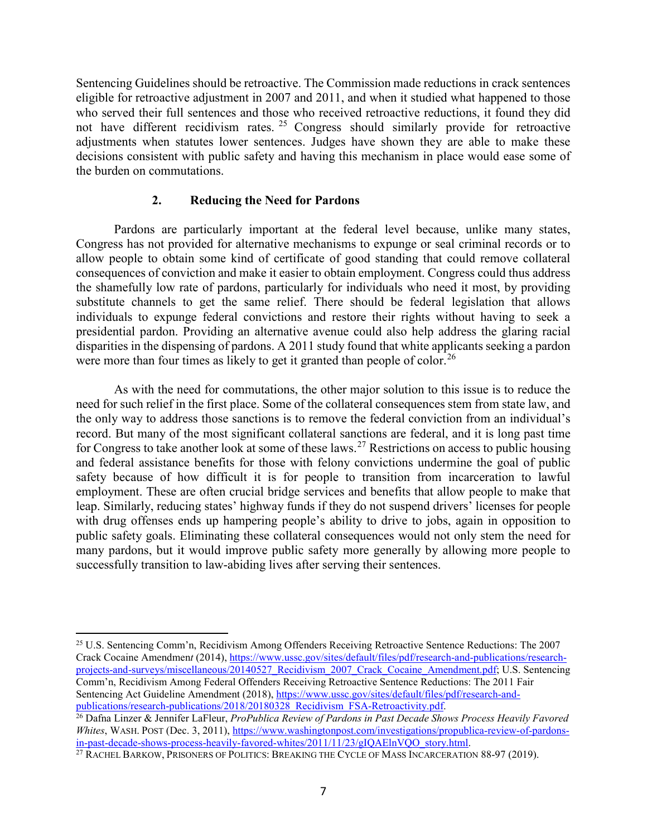Sentencing Guidelines should be retroactive. The Commission made reductions in crack sentences eligible for retroactive adjustment in 2007 and 2011, and when it studied what happened to those who served their full sentences and those who received retroactive reductions, it found they did not have different recidivism rates.  $25$  Congress should similarly provide for retroactive adjustments when statutes lower sentences. Judges have shown they are able to make these decisions consistent with public safety and having this mechanism in place would ease some of the burden on commutations.

# **2. Reducing the Need for Pardons**

Pardons are particularly important at the federal level because, unlike many states, Congress has not provided for alternative mechanisms to expunge or seal criminal records or to allow people to obtain some kind of certificate of good standing that could remove collateral consequences of conviction and make it easier to obtain employment. Congress could thus address the shamefully low rate of pardons, particularly for individuals who need it most, by providing substitute channels to get the same relief. There should be federal legislation that allows individuals to expunge federal convictions and restore their rights without having to seek a presidential pardon. Providing an alternative avenue could also help address the glaring racial disparities in the dispensing of pardons. A 2011 study found that white applicants seeking a pardon were more than four times as likely to get it granted than people of color.<sup>[26](#page-6-1)</sup>

As with the need for commutations, the other major solution to this issue is to reduce the need for such relief in the first place. Some of the collateral consequences stem from state law, and the only way to address those sanctions is to remove the federal conviction from an individual's record. But many of the most significant collateral sanctions are federal, and it is long past time for Congress to take another look at some of these laws.<sup>[27](#page-6-2)</sup> Restrictions on access to public housing and federal assistance benefits for those with felony convictions undermine the goal of public safety because of how difficult it is for people to transition from incarceration to lawful employment. These are often crucial bridge services and benefits that allow people to make that leap. Similarly, reducing states' highway funds if they do not suspend drivers' licenses for people with drug offenses ends up hampering people's ability to drive to jobs, again in opposition to public safety goals. Eliminating these collateral consequences would not only stem the need for many pardons, but it would improve public safety more generally by allowing more people to successfully transition to law-abiding lives after serving their sentences.

<span id="page-6-0"></span> $\overline{a}$ <sup>25</sup> U.S. Sentencing Comm'n, Recidivism Among Offenders Receiving Retroactive Sentence Reductions: The 2007 Crack Cocaine Amendmen*t* (2014), https://www.ussc.gov/sites/default/files/pdf/research-and-publications/researchprojects-and-surveys/miscellaneous/20140527\_Recidivism\_2007\_Crack\_Cocaine\_Amendment.pdf; U.S. Sentencing Comm'n, Recidivism Among Federal Offenders Receiving Retroactive Sentence Reductions: The 2011 Fair Sentencing Act Guideline Amendment (2018), https://www.ussc.gov/sites/default/files/pdf/research-and-<br>publications/research-publications/2018/20180328 Recidivism FSA-Retroactivity.pdf.

<span id="page-6-1"></span><sup>&</sup>lt;sup>26</sup> Dafna Linzer & Jennifer LaFleur, *ProPublica Review of Pardons in Past Decade Shows Process Heavily Favored Whites*, WASH. POST (Dec. 3, 2011), https://www.washingtonpost.com/investigations/propublica-review-of-pardons-<br>in-past-decade-shows-process-heavily-favored-whites/2011/11/23/gIQAElnVQO\_story.html.

<span id="page-6-2"></span> $\frac{27}{27}$  RACHEL BARKOW, PRISONERS OF POLITICS: BREAKING THE CYCLE OF MASS INCARCERATION 88-97 (2019).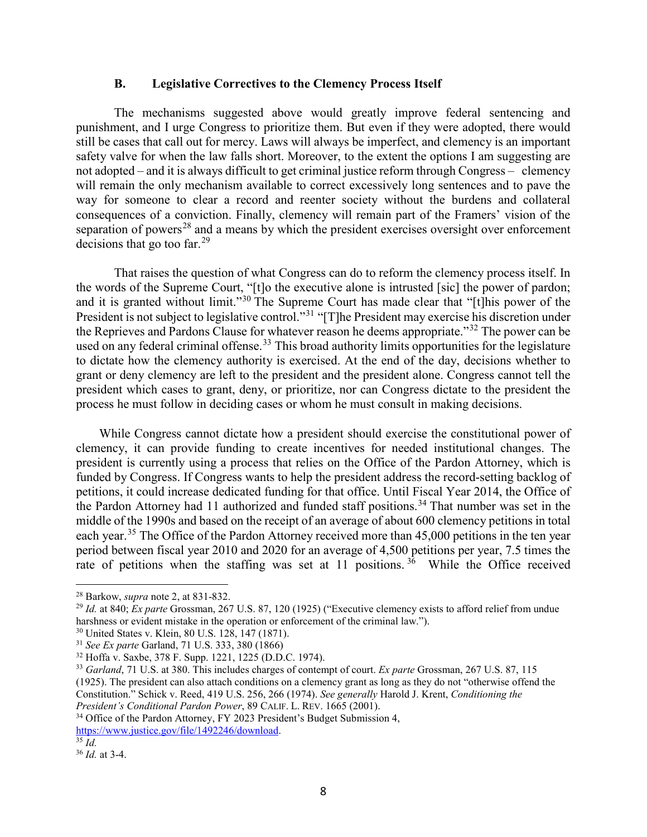#### **B. Legislative Correctives to the Clemency Process Itself**

The mechanisms suggested above would greatly improve federal sentencing and punishment, and I urge Congress to prioritize them. But even if they were adopted, there would still be cases that call out for mercy. Laws will always be imperfect, and clemency is an important safety valve for when the law falls short. Moreover, to the extent the options I am suggesting are not adopted – and it is always difficult to get criminal justice reform through Congress – clemency will remain the only mechanism available to correct excessively long sentences and to pave the way for someone to clear a record and reenter society without the burdens and collateral consequences of a conviction. Finally, clemency will remain part of the Framers' vision of the separation of powers<sup>[28](#page-7-0)</sup> and a means by which the president exercises oversight over enforcement decisions that go too far. $^{29}$  $^{29}$  $^{29}$ 

That raises the question of what Congress can do to reform the clemency process itself. In the words of the Supreme Court, "[t]o the executive alone is intrusted [sic] the power of pardon; and it is granted without limit."[30](#page-7-2) The Supreme Court has made clear that "[t]his power of the President is not subject to legislative control."<sup>[31](#page-7-3)</sup> "[T]he President may exercise his discretion under the Reprieves and Pardons Clause for whatever reason he deems appropriate."<sup>[32](#page-7-4)</sup> The power can be used on any federal criminal offense.<sup>[33](#page-7-5)</sup> This broad authority limits opportunities for the legislature to dictate how the clemency authority is exercised. At the end of the day, decisions whether to grant or deny clemency are left to the president and the president alone. Congress cannot tell the president which cases to grant, deny, or prioritize, nor can Congress dictate to the president the process he must follow in deciding cases or whom he must consult in making decisions.

While Congress cannot dictate how a president should exercise the constitutional power of clemency, it can provide funding to create incentives for needed institutional changes. The president is currently using a process that relies on the Office of the Pardon Attorney, which is funded by Congress. If Congress wants to help the president address the record-setting backlog of petitions, it could increase dedicated funding for that office. Until Fiscal Year 2014, the Office of the Pardon Attorney had 11 authorized and funded staff positions.<sup>[34](#page-7-6)</sup> That number was set in the middle of the 1990s and based on the receipt of an average of about 600 clemency petitions in total each year.<sup>[35](#page-7-7)</sup> The Office of the Pardon Attorney received more than 45,000 petitions in the ten year period between fiscal year 2010 and 2020 for an average of 4,500 petitions per year, 7.5 times the rate of petitions when the staffing was set at  $11$  positions.<sup>[36](#page-7-8)</sup> While the Office received

<span id="page-7-6"></span><sup>34</sup> Office of the Pardon Attorney, FY 2023 President's Budget Submission 4,

<span id="page-7-0"></span><sup>28</sup> Barkow, *supra* note 2, at 831-832.

<span id="page-7-1"></span><sup>29</sup> *Id.* at 840; *Ex parte* Grossman, 267 U.S. 87, 120 (1925) ("Executive clemency exists to afford relief from undue harshness or evident mistake in the operation or enforcement of the criminal law.").

<span id="page-7-2"></span><sup>30</sup> United States v. Klein, 80 U.S. 128, 147 (1871).

<span id="page-7-3"></span><sup>31</sup> *See Ex parte* Garland, 71 U.S. 333, 380 (1866)

<span id="page-7-4"></span><sup>32</sup> Hoffa v. Saxbe, 378 F. Supp. 1221, 1225 (D.D.C. 1974).

<span id="page-7-5"></span><sup>33</sup> *Garland*, 71 U.S. at 380. This includes charges of contempt of court. *Ex parte* Grossman, 267 U.S. 87, 115

<sup>(1925).</sup> The president can also attach conditions on a clemency grant as long as they do not "otherwise offend the Constitution." Schick v. Reed, 419 U.S. 256, 266 (1974). *See generally* Harold J. Krent, *Conditioning the*

*President's Conditional Pardon Power*, 89 CALIF. L. REV. 1665 (2001).

[https://www.justice.gov/file/1492246/download.](https://www.justice.gov/file/1492246/download) 35 *Id.*

<span id="page-7-7"></span>

<span id="page-7-8"></span><sup>36</sup> *Id.* at 3-4.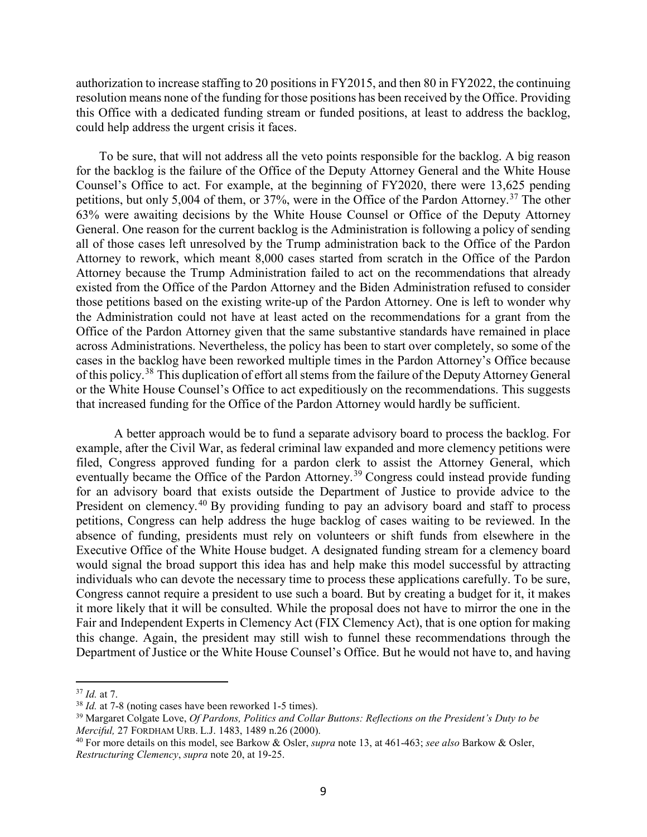authorization to increase staffing to 20 positions in FY2015, and then 80 in FY2022, the continuing resolution means none of the funding for those positions has been received by the Office. Providing this Office with a dedicated funding stream or funded positions, at least to address the backlog, could help address the urgent crisis it faces.

To be sure, that will not address all the veto points responsible for the backlog. A big reason for the backlog is the failure of the Office of the Deputy Attorney General and the White House Counsel's Office to act. For example, at the beginning of FY2020, there were 13,625 pending petitions, but only 5,004 of them, or [37](#page-8-0)%, were in the Office of the Pardon Attorney.<sup>37</sup> The other 63% were awaiting decisions by the White House Counsel or Office of the Deputy Attorney General. One reason for the current backlog is the Administration is following a policy of sending all of those cases left unresolved by the Trump administration back to the Office of the Pardon Attorney to rework, which meant 8,000 cases started from scratch in the Office of the Pardon Attorney because the Trump Administration failed to act on the recommendations that already existed from the Office of the Pardon Attorney and the Biden Administration refused to consider those petitions based on the existing write-up of the Pardon Attorney. One is left to wonder why the Administration could not have at least acted on the recommendations for a grant from the Office of the Pardon Attorney given that the same substantive standards have remained in place across Administrations. Nevertheless, the policy has been to start over completely, so some of the cases in the backlog have been reworked multiple times in the Pardon Attorney's Office because of this policy.<sup>[38](#page-8-1)</sup> This duplication of effort all stems from the failure of the Deputy Attorney General or the White House Counsel's Office to act expeditiously on the recommendations. This suggests that increased funding for the Office of the Pardon Attorney would hardly be sufficient.

A better approach would be to fund a separate advisory board to process the backlog. For example, after the Civil War, as federal criminal law expanded and more clemency petitions were filed, Congress approved funding for a pardon clerk to assist the Attorney General, which eventually became the Office of the Pardon Attorney.<sup>[39](#page-8-2)</sup> Congress could instead provide funding for an advisory board that exists outside the Department of Justice to provide advice to the President on clemency.<sup>[40](#page-8-3)</sup> By providing funding to pay an advisory board and staff to process petitions, Congress can help address the huge backlog of cases waiting to be reviewed. In the absence of funding, presidents must rely on volunteers or shift funds from elsewhere in the Executive Office of the White House budget. A designated funding stream for a clemency board would signal the broad support this idea has and help make this model successful by attracting individuals who can devote the necessary time to process these applications carefully. To be sure, Congress cannot require a president to use such a board. But by creating a budget for it, it makes it more likely that it will be consulted. While the proposal does not have to mirror the one in the Fair and Independent Experts in Clemency Act (FIX Clemency Act), that is one option for making this change. Again, the president may still wish to funnel these recommendations through the Department of Justice or the White House Counsel's Office. But he would not have to, and having

 $\overline{a}$ 

<span id="page-8-0"></span> $^{37}$  *Id.* at 7.<br> $^{38}$  *Id.* at 7-8 (noting cases have been reworked 1-5 times).

<span id="page-8-2"></span><span id="page-8-1"></span><sup>&</sup>lt;sup>39</sup> Margaret Colgate Love, *Of Pardons, Politics and Collar Buttons: Reflections on the President's Duty to be Merciful,* 27 FORDHAM URB. L.J. 1483, 1489 n.26 (2000).

<span id="page-8-3"></span><sup>40</sup> For more details on this model, see Barkow & Osler, *supra* note 13, at 461-463; *see also* Barkow & Osler, *Restructuring Clemency*, *supra* note 20, at 19-25.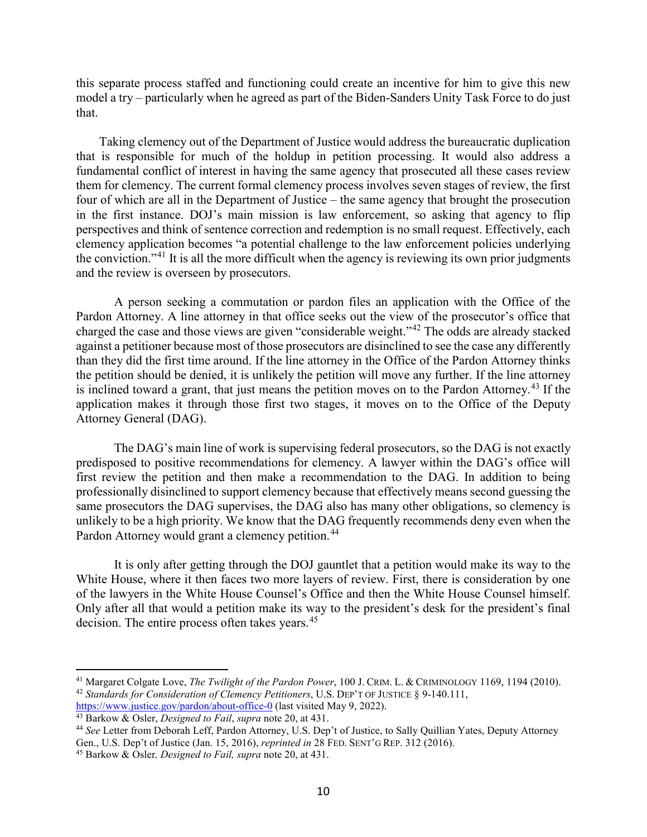this separate process staffed and functioning could create an incentive for him to give this new model a try – particularly when he agreed as part of the Biden-Sanders Unity Task Force to do just that.

Taking clemency out of the Department of Justice would address the bureaucratic duplication that is responsible for much of the holdup in petition processing. It would also address a fundamental conflict of interest in having the same agency that prosecuted all these cases review them for clemency. The current formal clemency process involves seven stages of review, the first four of which are all in the Department of Justice – the same agency that brought the prosecution in the first instance. DOJ's main mission is law enforcement, so asking that agency to flip perspectives and think of sentence correction and redemption is no small request. Effectively, each clemency application becomes "a potential challenge to the law enforcement policies underlying the conviction."[41](#page-9-0) It is all the more difficult when the agency is reviewing its own prior judgments and the review is overseen by prosecutors.

A person seeking a commutation or pardon files an application with the Office of the Pardon Attorney. A line attorney in that office seeks out the view of the prosecutor's office that charged the case and those views are given "considerable weight."[42](#page-9-1) The odds are already stacked against a petitioner because most of those prosecutors are disinclined to see the case any differently than they did the first time around. If the line attorney in the Office of the Pardon Attorney thinks the petition should be denied, it is unlikely the petition will move any further. If the line attorney is inclined toward a grant, that just means the petition moves on to the Pardon Attorney.<sup>[43](#page-9-2)</sup> If the application makes it through those first two stages, it moves on to the Office of the Deputy Attorney General (DAG).

The DAG's main line of work is supervising federal prosecutors, so the DAG is not exactly predisposed to positive recommendations for clemency. A lawyer within the DAG's office will first review the petition and then make a recommendation to the DAG. In addition to being professionally disinclined to support clemency because that effectively means second guessing the same prosecutors the DAG supervises, the DAG also has many other obligations, so clemency is unlikely to be a high priority. We know that the DAG frequently recommends deny even when the Pardon Attorney would grant a clemency petition.<sup>[44](#page-9-3)</sup>

It is only after getting through the DOJ gauntlet that a petition would make its way to the White House, where it then faces two more layers of review. First, there is consideration by one of the lawyers in the White House Counsel's Office and then the White House Counsel himself. Only after all that would a petition make its way to the president's desk for the president's final decision. The entire process often takes years.<sup>[45](#page-9-4)</sup>

<span id="page-9-1"></span><span id="page-9-0"></span><sup>41</sup> Margaret Colgate Love, *The Twilight of the Pardon Power*, 100 J. CRIM. L. & CRIMINOLOGY 1169, 1194 (2010). <sup>42</sup> *Standards for Consideration of Clemency Petitioners*, U.S. DEP'T OF JUSTICE § 9-140.111,<br>https://www.justice.gov/pardon/about-office-0 (last visited May 9, 2022).

<span id="page-9-3"></span>

<span id="page-9-2"></span> $\frac{43}{43}$  Barkow & Osler, *Designed to Fail, supra* note 20, at 431.<br><sup>44</sup> See Letter from Deborah Leff, Pardon Attorney, U.S. Dep't of Justice, to Sally Quillian Yates, Deputy Attorney Gen., U.S. Dep't of Justice (Jan. 15, 2016), *reprinted in* 28 FED. SENT'G REP. 312 (2016).

<span id="page-9-4"></span><sup>45</sup> Barkow & Osler*, Designed to Fail, supra* note 20, at 431.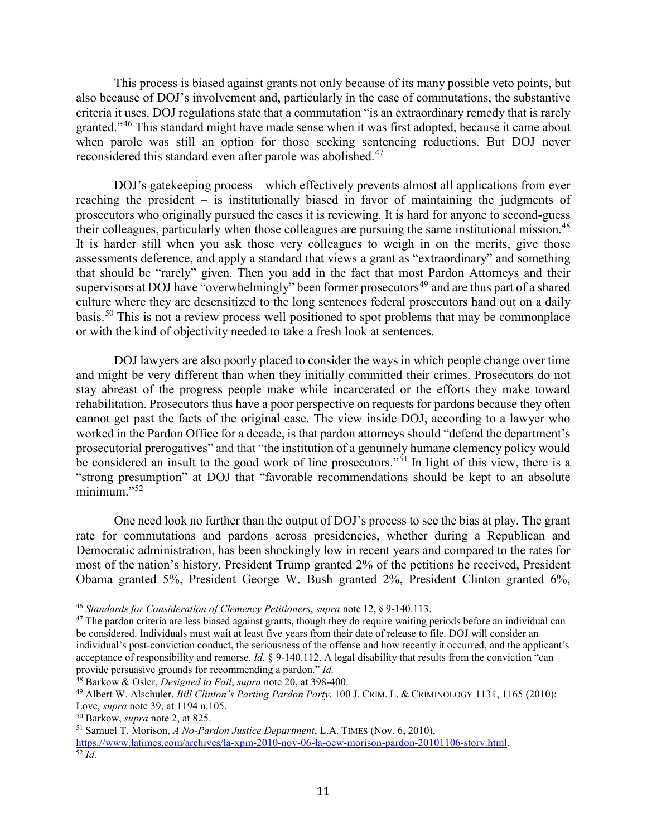This process is biased against grants not only because of its many possible veto points, but also because of DOJ's involvement and, particularly in the case of commutations, the substantive criteria it uses. DOJ regulations state that a commutation "is an extraordinary remedy that is rarely granted."<sup>[46](#page-10-0)</sup> This standard might have made sense when it was first adopted, because it came about when parole was still an option for those seeking sentencing reductions. But DOJ never reconsidered this standard even after parole was abolished.<sup>[47](#page-10-1)</sup>

DOJ's gatekeeping process – which effectively prevents almost all applications from ever reaching the president – is institutionally biased in favor of maintaining the judgments of prosecutors who originally pursued the cases it is reviewing. It is hard for anyone to second-guess their colleagues, particularly when those colleagues are pursuing the same institutional mission.<sup>[48](#page-10-2)</sup> It is harder still when you ask those very colleagues to weigh in on the merits, give those assessments deference, and apply a standard that views a grant as "extraordinary" and something that should be "rarely" given. Then you add in the fact that most Pardon Attorneys and their supervisors at DOJ have "overwhelmingly" been former prosecutors<sup>[49](#page-10-3)</sup> and are thus part of a shared culture where they are desensitized to the long sentences federal prosecutors hand out on a daily basis.[50](#page-10-4) This is not a review process well positioned to spot problems that may be commonplace or with the kind of objectivity needed to take a fresh look at sentences.

DOJ lawyers are also poorly placed to consider the ways in which people change over time and might be very different than when they initially committed their crimes. Prosecutors do not stay abreast of the progress people make while incarcerated or the efforts they make toward rehabilitation. Prosecutors thus have a poor perspective on requests for pardons because they often cannot get past the facts of the original case. The view inside DOJ, according to a lawyer who worked in the Pardon Office for a decade, is that pardon attorneys should "defend the department's prosecutorial prerogatives" and that "the institution of a genuinely humane clemency policy would be considered an insult to the good work of line prosecutors."<sup>[51](#page-10-5)</sup> In light of this view, there is a "strong presumption" at DOJ that "favorable recommendations should be kept to an absolute minimum."<sup>[52](#page-10-6)</sup>

One need look no further than the output of DOJ's process to see the bias at play. The grant rate for commutations and pardons across presidencies, whether during a Republican and Democratic administration, has been shockingly low in recent years and compared to the rates for most of the nation's history. President Trump granted 2% of the petitions he received, President Obama granted 5%, President George W. Bush granted 2%, President Clinton granted 6%,

 $\overline{a}$ <sup>46</sup> *Standards for Consideration of Clemency Petitioners*, *supra* note 12, § 9-140.113.

<span id="page-10-1"></span><span id="page-10-0"></span> $47$  The pardon criteria are less biased against grants, though they do require waiting periods before an individual can be considered. Individuals must wait at least five years from their date of release to file. DOJ will consider an individual's post-conviction conduct, the seriousness of the offense and how recently it occurred, and the applicant's acceptance of responsibility and remorse. *Id.* § 9-140.112. A legal disability that results from the conviction "can provide persuasive grounds for recommending a pardon." *Id.*

<span id="page-10-2"></span><sup>48</sup> Barkow & Osler, *Designed to Fail*, *supra* note 20, at 398-400.

<span id="page-10-3"></span><sup>49</sup> Albert W. Alschuler, *Bill Clinton's Parting Pardon Party*, 100 J. CRIM. L. & CRIMINOLOGY 1131, 1165 (2010); Love, *supra* note 39, at 1194 n.105.

<span id="page-10-4"></span><sup>50</sup> Barkow, *supra* note 2, at 825.

<span id="page-10-6"></span><span id="page-10-5"></span><sup>51</sup> Samuel T. Morison, *A No-Pardon Justice Department*, L.A. TIMES (Nov. 6, 2010), https://www.latimes.com/archives/la-xpm-2010-nov-06-la-oew-morison-pardon-20101106-story.html.<br>
<sup>52</sup> *Id.*